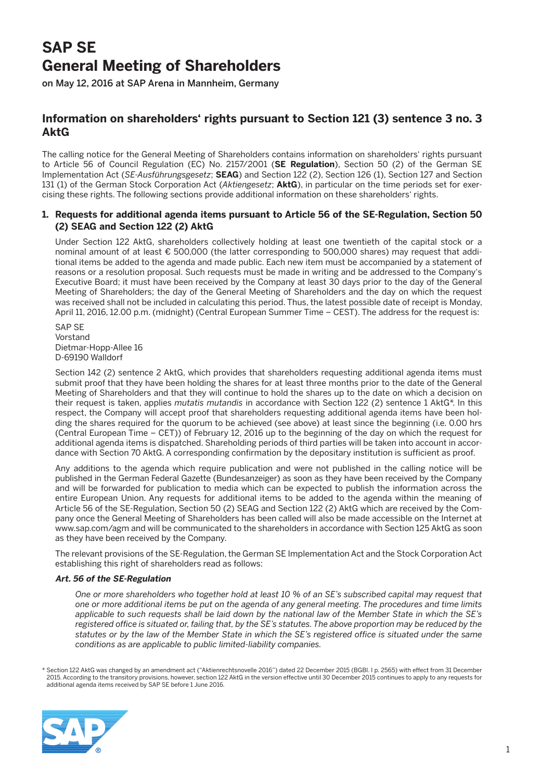# **SAP SE General Meeting of Shareholders**

on May 12, 2016 at SAP Arena in Mannheim, Germany

# **Information on shareholders' rights pursuant to Section 121 (3) sentence 3 no. 3 AktG**

The calling notice for the General Meeting of Shareholders contains information on shareholders' rights pursuant to Article 56 of Council Regulation (EC) No. 2157/2001 (**SE Regulation**), Section 50 (2) of the German SE Implementation Act (*SE-Ausführungsgesetz*; **SEAG**) and Section 122 (2), Section 126 (1), Section 127 and Section 131 (1) of the German Stock Corporation Act (*Aktiengesetz*; **AktG**), in particular on the time periods set for exercising these rights. The following sections provide additional information on these shareholders' rights.

# **1. Requests for additional agenda items pursuant to Article 56 of the SE-Regulation, Section 50 (2) SEAG and Section 122 (2) AktG**

 Under Section 122 AktG, shareholders collectively holding at least one twentieth of the capital stock or a nominal amount of at least € 500,000 (the latter corresponding to 500,000 shares) may request that additional items be added to the agenda and made public. Each new item must be accompanied by a statement of reasons or a resolution proposal. Such requests must be made in writing and be addressed to the Company's Executive Board; it must have been received by the Company at least 30 days prior to the day of the General Meeting of Shareholders; the day of the General Meeting of Shareholders and the day on which the request was received shall not be included in calculating this period. Thus, the latest possible date of receipt is Monday, April 11, 2016, 12.00 p.m. (midnight) (Central European Summer Time – CEST). The address for the request is:

 SAP SE Vorstand Dietmar-Hopp-Allee 16 D-69190 Walldorf

Section 142 (2) sentence 2 AktG, which provides that shareholders requesting additional agenda items must submit proof that they have been holding the shares for at least three months prior to the date of the General Meeting of Shareholders and that they will continue to hold the shares up to the date on which a decision on their request is taken, applies *mutatis mutandis* in accordance with Section 122 (2) sentence 1 AktG\*. In this respect, the Company will accept proof that shareholders requesting additional agenda items have been holding the shares required for the quorum to be achieved (see above) at least since the beginning (i.e. 0.00 hrs (Central European Time – CET)) of February 12, 2016 up to the beginning of the day on which the request for additional agenda items is dispatched. Shareholding periods of third parties will be taken into account in accordance with Section 70 AktG. A corresponding confirmation by the depositary institution is sufficient as proof.

 Any additions to the agenda which require publication and were not published in the calling notice will be published in the German Federal Gazette (Bundesanzeiger) as soon as they have been received by the Company and will be forwarded for publication to media which can be expected to publish the information across the entire European Union. Any requests for additional items to be added to the agenda within the meaning of Article 56 of the SE-Regulation, Section 50 (2) SEAG and Section 122 (2) AktG which are received by the Company once the General Meeting of Shareholders has been called will also be made accessible on the Internet at www.sap.com/agm and will be communicated to the shareholders in accordance with Section 125 AktG as soon as they have been received by the Company.

 The relevant provisions of the SE-Regulation, the German SE Implementation Act and the Stock Corporation Act establishing this right of shareholders read as follows:

# **Art. 56 of the SE-Regulation**

 *One or more shareholders who together hold at least 10 % of an SE's subscribed capital may request that one or more additional items be put on the agenda of any general meeting. The procedures and time limits applicable to such requests shall be laid down by the national law of the Member State in which the SE's registered office is situated or, failing that, by the SE's statutes. The above proportion may be reduced by the statutes or by the law of the Member State in which the SE's registered office is situated under the same conditions as are applicable to public limited-liability companies.*

\* Section 122 AktG was changed by an amendment act ("Aktienrechtsnovelle 2016") dated 22 December 2015 (BGBl. I p. 2565) with effect from 31 December 2015. According to the transitory provisions, however, section 122 AktG in the version effective until 30 December 2015 continues to apply to any requests for additional agenda items received by SAP SE before 1 June 2016.

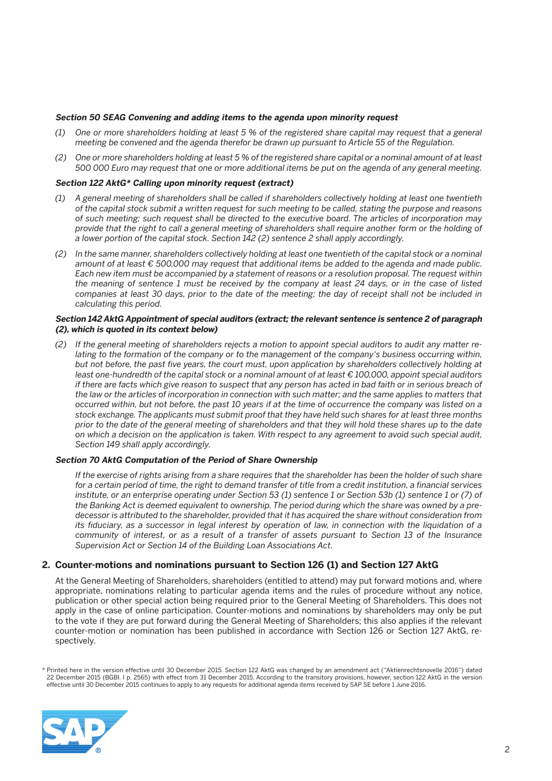#### **Section 50 SEAG Convening and adding items to the agenda upon minority request**

- *(1) One or more shareholders holding at least 5 % of the registered share capital may request that a general meeting be convened and the agenda therefor be drawn up pursuant to Article 55 of the Regulation.*
- *(2) One or more shareholders holding at least 5 % of the registered share capital or a nominal amount of at least 500 000 Euro may request that one or more additional items be put on the agenda of any general meeting.*

#### **Section 122 AktG\* Calling upon minority request (extract)**

- *(1) A general meeting of shareholders shall be called if shareholders collectively holding at least one twentieth of the capital stock submit a written request for such meeting to be called, stating the purpose and reasons of such meeting; such request shall be directed to the executive board. The articles of incorporation may provide that the right to call a general meeting of shareholders shall require another form or the holding of a lower portion of the capital stock. Section 142 (2) sentence 2 shall apply accordingly.*
- *(2) In the same manner, shareholders collectively holding at least one twentieth of the capital stock or a nominal amount of at least € 500,000 may request that additional items be added to the agenda and made public. Each new item must be accompanied by a statement of reasons or a resolution proposal. The request within the meaning of sentence 1 must be received by the company at least 24 days, or in the case of listed companies at least 30 days, prior to the date of the meeting; the day of receipt shall not be included in calculating this period.*

#### **Section 142 AktG Appointment of special auditors (extract; the relevant sentence is sentence 2 of paragraph (2), which is quoted in its context below)**

 *(2) If the general meeting of shareholders rejects a motion to appoint special auditors to audit any matter relating to the formation of the company or to the management of the company's business occurring within, but not before, the past five years, the court must, upon application by shareholders collectively holding at least one-hundredth of the capital stock or a nominal amount of at least € 100,000, appoint special auditors if there are facts which give reason to suspect that any person has acted in bad faith or in serious breach of the law or the articles of incorporation in connection with such matter; and the same applies to matters that occurred within, but not before, the past 10 years if at the time of occurrence the company was listed on a stock exchange. The applicants must submit proof that they have held such shares for at least three months prior to the date of the general meeting of shareholders and that they will hold these shares up to the date on which a decision on the application is taken. With respect to any agreement to avoid such special audit, Section 149 shall apply accordingly.*

#### **Section 70 AktG Computation of the Period of Share Ownership**

 *If the exercise of rights arising from a share requires that the shareholder has been the holder of such share for a certain period of time, the right to demand transfer of title from a credit institution, a financial services institute, or an enterprise operating under Section 53 (1) sentence 1 or Section 53b (1) sentence 1 or (7) of the Banking Act is deemed equivalent to ownership. The period during which the share was owned by a predecessor is attributed to the shareholder, provided that it has acquired the share without consideration from its fiduciary, as a successor in legal interest by operation of law, in connection with the liquidation of a community of interest, or as a result of a transfer of assets pursuant to Section 13 of the Insurance Supervision Act or Section 14 of the Building Loan Associations Act.*

# **2. Counter-motions and nominations pursuant to Section 126 (1) and Section 127 AktG**

 At the General Meeting of Shareholders, shareholders (entitled to attend) may put forward motions and, where appropriate, nominations relating to particular agenda items and the rules of procedure without any notice, publication or other special action being required prior to the General Meeting of Shareholders. This does not apply in the case of online participation. Counter-motions and nominations by shareholders may only be put to the vote if they are put forward during the General Meeting of Shareholders; this also applies if the relevant counter-motion or nomination has been published in accordance with Section 126 or Section 127 AktG, respectively.

<sup>\*</sup> Printed here in the version effective until 30 December 2015. Section 122 AktG was changed by an amendment act ("Aktienrechtsnovelle 2016") dated 22 December 2015 (BGBI. I p. 2565) with effect from 31 December 2015. According to the transitory provisions, however, section 122 AktG in the version<br>effective until 30 December 2015 continues to apply to any requests for

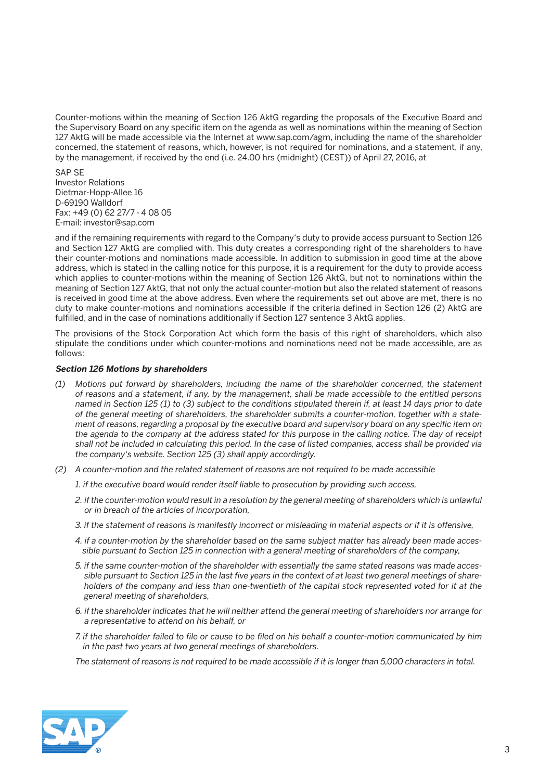Counter-motions within the meaning of Section 126 AktG regarding the proposals of the Executive Board and the Supervisory Board on any specific item on the agenda as well as nominations within the meaning of Section 127 AktG will be made accessible via the Internet at www.sap.com/agm, including the name of the shareholder concerned, the statement of reasons, which, however, is not required for nominations, and a statement, if any, by the management, if received by the end (i.e. 24.00 hrs (midnight) (CEST)) of April 27, 2016, at

 SAP SE Investor Relations Dietmar-Hopp-Allee 16 D-69190 Walldorf Fax: +49 (0) 62 27/7 - 4 08 05 E-mail: investor@sap.com

 and if the remaining requirements with regard to the Company's duty to provide access pursuant to Section 126 and Section 127 AktG are complied with. This duty creates a corresponding right of the shareholders to have their counter-motions and nominations made accessible. In addition to submission in good time at the above address, which is stated in the calling notice for this purpose, it is a requirement for the duty to provide access which applies to counter-motions within the meaning of Section 126 AktG, but not to nominations within the meaning of Section 127 AktG, that not only the actual counter-motion but also the related statement of reasons is received in good time at the above address. Even where the requirements set out above are met, there is no duty to make counter-motions and nominations accessible if the criteria defined in Section 126 (2) AktG are fulfilled, and in the case of nominations additionally if Section 127 sentence 3 AktG applies.

 The provisions of the Stock Corporation Act which form the basis of this right of shareholders, which also stipulate the conditions under which counter-motions and nominations need not be made accessible, are as follows:

# **Section 126 Motions by shareholders**

- *(1) Motions put forward by shareholders, including the name of the shareholder concerned, the statement of reasons and a statement, if any, by the management, shall be made accessible to the entitled persons named in Section 125 (1) to (3) subject to the conditions stipulated therein if, at least 14 days prior to date of the general meeting of shareholders, the shareholder submits a counter-motion, together with a statement of reasons, regarding a proposal by the executive board and supervisory board on any specific item on the agenda to the company at the address stated for this purpose in the calling notice. The day of receipt shall not be included in calculating this period. In the case of listed companies, access shall be provided via the company's website. Section 125 (3) shall apply accordingly.*
- *(2) A counter-motion and the related statement of reasons are not required to be made accessible*
	- *1. if the executive board would render itself liable to prosecution by providing such access,*
	- 2. if the counter-motion would result in a resolution by the general meeting of shareholders which is unlawful *or in breach of the articles of incorporation,*
	- *3. if the statement of reasons is manifestly incorrect or misleading in material aspects or if it is offensive,*
	- *4. if a counter-motion by the shareholder based on the same subject matter has already been made accessible pursuant to Section 125 in connection with a general meeting of shareholders of the company,*
	- *5. if the same counter-motion of the shareholder with essentially the same stated reasons was made accessible pursuant to Section 125 in the last five years in the context of at least two general meetings of shareholders of the company and less than one-twentieth of the capital stock represented voted for it at the general meeting of shareholders,*
	- *6. if the shareholder indicates that he will neither attend the general meeting of shareholders nor arrange for a representative to attend on his behalf, or*
	- *7. if the shareholder failed to file or cause to be filed on his behalf a counter-motion communicated by him in the past two years at two general meetings of shareholders.*

 *The statement of reasons is not required to be made accessible if it is longer than 5,000 characters in total.*

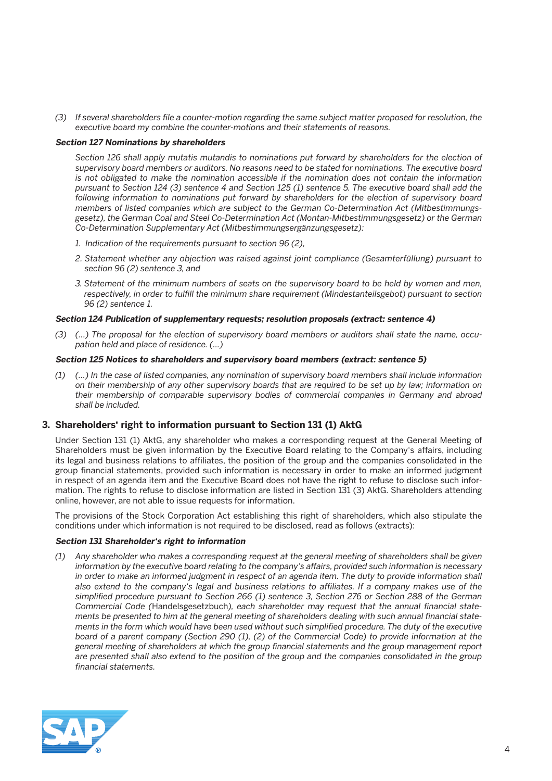*(3) If several shareholders file a counter-motion regarding the same subject matter proposed for resolution, the executive board my combine the counter-motions and their statements of reasons.*

#### **Section 127 Nominations by shareholders**

 *Section 126 shall apply mutatis mutandis to nominations put forward by shareholders for the election of supervisory board members or auditors. No reasons need to be stated for nominations. The executive board is not obligated to make the nomination accessible if the nomination does not contain the information pursuant to Section 124 (3) sentence 4 and Section 125 (1) sentence 5. The executive board shall add the following information to nominations put forward by shareholders for the election of supervisory board members of listed companies which are subject to the German Co-Determination Act (Mitbestimmungsgesetz), the German Coal and Steel Co-Determination Act (Montan-Mitbestimmungsgesetz) or the German Co-Determination Supplementary Act (Mitbestimmungsergänzungsgesetz):*

- *1. Indication of the requirements pursuant to section 96 (2),*
- *2. Statement whether any objection was raised against joint compliance (Gesamterfüllung) pursuant to section 96 (2) sentence 3, and*
- *3. Statement of the minimum numbers of seats on the supervisory board to be held by women and men, respectively, in order to fulfill the minimum share requirement (Mindestanteilsgebot) pursuant to section 96 (2) sentence 1.*

# **Section 124 Publication of supplementary requests; resolution proposals (extract: sentence 4)**

 *(3) (...) The proposal for the election of supervisory board members or auditors shall state the name, occupation held and place of residence. (...)*

#### **Section 125 Notices to shareholders and supervisory board members (extract: sentence 5)**

 *(1) (…) In the case of listed companies, any nomination of supervisory board members shall include information on their membership of any other supervisory boards that are required to be set up by law; information on their membership of comparable supervisory bodies of commercial companies in Germany and abroad shall be included.*

# **3. Shareholders' right to information pursuant to Section 131 (1) AktG**

 Under Section 131 (1) AktG, any shareholder who makes a corresponding request at the General Meeting of Shareholders must be given information by the Executive Board relating to the Company's affairs, including its legal and business relations to affiliates, the position of the group and the companies consolidated in the group financial statements, provided such information is necessary in order to make an informed judgment in respect of an agenda item and the Executive Board does not have the right to refuse to disclose such information. The rights to refuse to disclose information are listed in Section 131 (3) AktG. Shareholders attending online, however, are not able to issue requests for information.

 The provisions of the Stock Corporation Act establishing this right of shareholders, which also stipulate the conditions under which information is not required to be disclosed, read as follows (extracts):

# **Section 131 Shareholder's right to information**

 *(1) Any shareholder who makes a corresponding request at the general meeting of shareholders shall be given information by the executive board relating to the company's affairs, provided such information is necessary in order to make an informed judgment in respect of an agenda item. The duty to provide information shall also extend to the company's legal and business relations to affiliates. If a company makes use of the simplified procedure pursuant to Section 266 (1) sentence 3, Section 276 or Section 288 of the German Commercial Code (*Handelsgesetzbuch*), each shareholder may request that the annual financial statements be presented to him at the general meeting of shareholders dealing with such annual financial statements in the form which would have been used without such simplified procedure. The duty of the executive board of a parent company (Section 290 (1), (2) of the Commercial Code) to provide information at the general meeting of shareholders at which the group financial statements and the group management report are presented shall also extend to the position of the group and the companies consolidated in the group financial statements.*